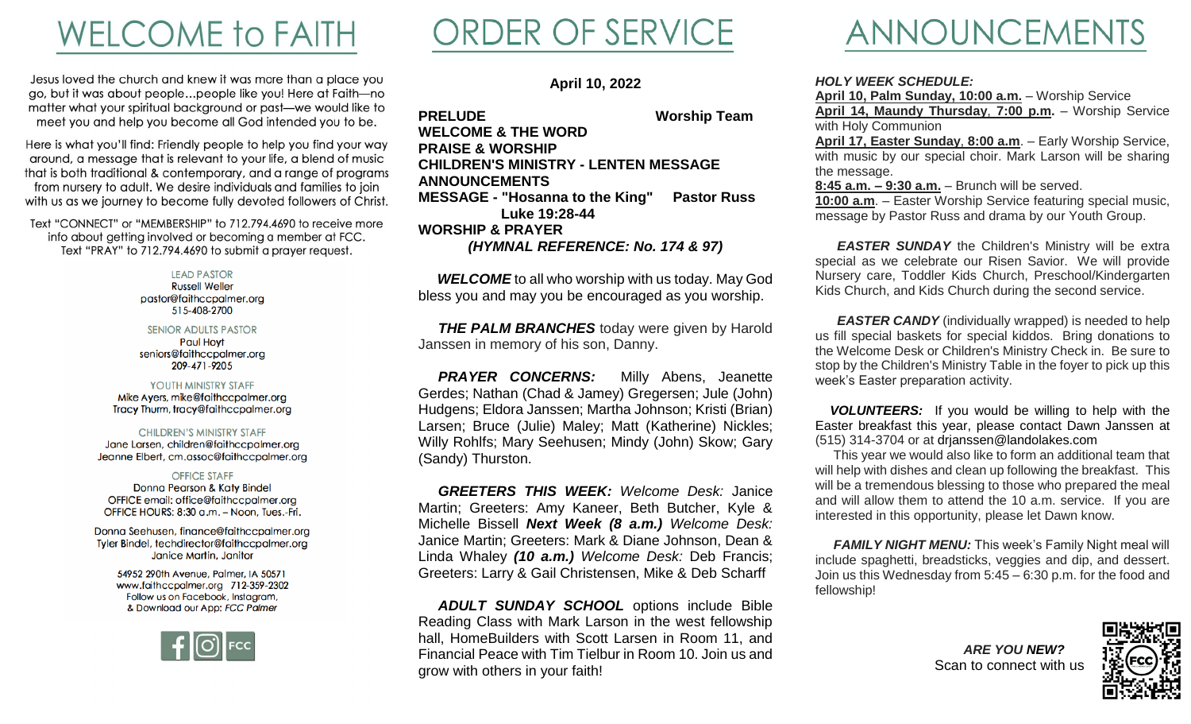## **WELCOME to FAITH**

Jesus loved the church and knew it was more than a place you go, but it was about people...people like you! Here at Faith-no matter what your spiritual background or past-we would like to meet you and help you become all God intended you to be.

Here is what you'll find: Friendly people to help you find your way around, a message that is relevant to your life, a blend of music that is both traditional & contemporary, and a range of programs from nursery to adult. We desire individuals and families to join with us as we journey to become fully devoted followers of Christ.

Text "CONNECT" or "MEMBERSHIP" to 712.794.4690 to receive more info about getting involved or becoming a member at FCC. Text "PRAY" to 712.794.4690 to submit a prayer request.

#### **LEAD PASTOR Russell Weller** pastor@faithccpalmer.org

515-408-2700

#### **SENIOR ADULTS PASTOR**

**Paul Hovt** seniors@faithccpalmer.org 209-471-9205

#### YOUTH MINISTRY STAFF

Mike Ayers, mike@faithccpalmer.org Tracy Thurm, tracy@faithccpalmer.org

#### CHILDREN'S MINISTRY STAFF Jane Larsen, children@faithccpalmer.org

Jeanne Elbert, cm.assoc@faithccpalmer.org

### **OFFICE STAFF**

Donna Pearson & Katy Bindel OFFICE email: office@faithccpalmer.org OFFICE HOURS: 8:30 a.m. - Noon, Tues.-Fri.

Donna Seehusen, finance@faithccpalmer.org Tyler Bindel, techdirector@faithccpalmer.org Janice Martin, Janitor

> 54952 290th Avenue, Palmer, IA 50571 www.faithccpalmer.org 712-359-2302 Follow us on Facebook, Instagram, & Download our App: FCC Palmer



# ORDER OF SERVICE

**April 10, 2022**

**PRELUDE Worship Team WELCOME & THE WORD PRAISE & WORSHIP CHILDREN'S MINISTRY - LENTEN MESSAGE ANNOUNCEMENTS MESSAGE - "Hosanna to the King" Pastor Russ Luke 19:28-44 WORSHIP & PRAYER** *(HYMNAL REFERENCE: No. 174 & 97)*

*WELCOME* to all who worship with us today. May God bless you and may you be encouraged as you worship.

**THE PALM BRANCHES** today were given by Harold Janssen in memory of his son, Danny.

**PRAYER CONCERNS:** Milly Abens, Jeanette Gerdes; Nathan (Chad & Jamey) Gregersen; Jule (John) Hudgens; Eldora Janssen; Martha Johnson; Kristi (Brian) Larsen; Bruce (Julie) Maley; Matt (Katherine) Nickles; Willy Rohlfs; Mary Seehusen; Mindy (John) Skow; Gary (Sandy) Thurston.

 *GREETERS THIS WEEK: Welcome Desk:* Janice Martin; Greeters: Amy Kaneer, Beth Butcher, Kyle & Michelle Bissell *Next Week (8 a.m.) Welcome Desk:* Janice Martin; Greeters: Mark & Diane Johnson, Dean & Linda Whaley *(10 a.m.) Welcome Desk:* Deb Francis; Greeters: Larry & Gail Christensen, Mike & Deb Scharff

 *ADULT SUNDAY SCHOOL* options include Bible Reading Class with Mark Larson in the west fellowship hall, HomeBuilders with Scott Larsen in Room 11, and Financial Peace with Tim Tielbur in Room 10. Join us and grow with others in your faith!

### ANNOUNCEMENTS

### *HOLY WEEK SCHEDULE:*

**April 10, Palm Sunday, 10:00 a.m.** – Worship Service **April 14, Maundy Thursday**, **7:00 p.m.** – Worship Service with Holy Communion

**April 17, Easter Sunday**, **8:00 a.m**. – Early Worship Service, with music by our special choir. Mark Larson will be sharing the message.

**8:45 a.m. – 9:30 a.m.** – Brunch will be served.

**10:00 a.m**. – Easter Worship Service featuring special music, message by Pastor Russ and drama by our Youth Group.

*EASTER SUNDAY* the Children's Ministry will be extra special as we celebrate our Risen Savior. We will provide Nursery care, Toddler Kids Church, Preschool/Kindergarten Kids Church, and Kids Church during the second service.

*EASTER CANDY* (individually wrapped) is needed to help us fill special baskets for special kiddos. Bring donations to the Welcome Desk or Children's Ministry Check in. Be sure to stop by the Children's Ministry Table in the foyer to pick up this week's Easter preparation activity.

 *VOLUNTEERS:* If you would be willing to help with the Easter breakfast this year, please contact Dawn Janssen at (515) 314-3704 or at drjanssen@landolakes.com

 This year we would also like to form an additional team that will help with dishes and clean up following the breakfast. This will be a tremendous blessing to those who prepared the meal and will allow them to attend the 10 a.m. service. If you are interested in this opportunity, please let Dawn know.

 *FAMILY NIGHT MENU:* This week's Family Night meal will include spaghetti, breadsticks, veggies and dip, and dessert. Join us this Wednesday from 5:45 – 6:30 p.m. for the food and fellowship!

> *ARE YOU NEW?* **Scan to connect with us**